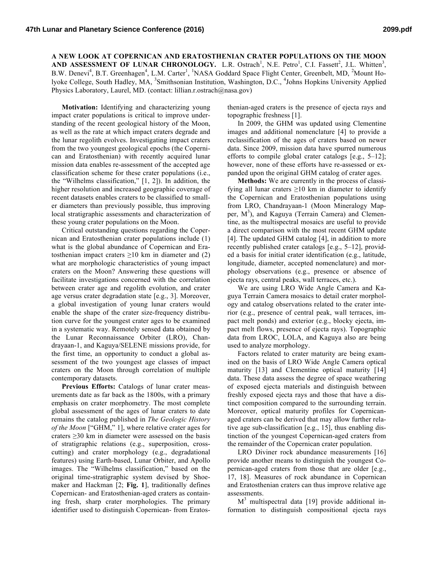**A NEW LOOK AT COPERNICAN AND ERATOSTHENIAN CRATER POPULATIONS ON THE MOON AND ASSESSMENT OF LUNAR CHRONOLOGY.** L.R. Ostrach<sup>1</sup>, N.E. Petro<sup>1</sup>, C.I. Fassett<sup>2</sup>, J.L. Whitten<sup>3</sup>, B.W. Denevi<sup>4</sup>, B.T. Greenhagen<sup>4</sup>, L.M. Carter<sup>1</sup>, <sup>1</sup>NASA Goddard Space Flight Center, Greenbelt, MD, <sup>2</sup>Mount Holyoke College, South Hadley, MA, <sup>3</sup>Smithsonian Institution, Washington, D.C., <sup>4</sup>Johns Hopkins University Applied Physics Laboratory, Laurel, MD. (contact: lillian.r.ostrach@nasa.gov)

**Motivation:** Identifying and characterizing young impact crater populations is critical to improve understanding of the recent geological history of the Moon, as well as the rate at which impact craters degrade and the lunar regolith evolves. Investigating impact craters from the two youngest geological epochs (the Copernican and Eratosthenian) with recently acquired lunar mission data enables re-assessment of the accepted age classification scheme for these crater populations (i.e., the "Wilhelms classification," [1, 2]). In addition, the higher resolution and increased geographic coverage of recent datasets enables craters to be classified to smaller diameters than previously possible, thus improving local stratigraphic assessments and characterization of these young crater populations on the Moon.

Critical outstanding questions regarding the Copernican and Eratosthenian crater populations include (1) what is the global abundance of Copernican and Eratosthenian impact craters  $\geq 10$  km in diameter and (2) what are morphologic characteristics of young impact craters on the Moon? Answering these questions will facilitate investigations concerned with the correlation between crater age and regolith evolution, and crater age versus crater degradation state [e.g., 3]. Moreover, a global investigation of young lunar craters would enable the shape of the crater size-frequency distribution curve for the youngest crater ages to be examined in a systematic way. Remotely sensed data obtained by the Lunar Reconnaissance Orbiter (LRO), Chandrayaan-1, and Kaguya/SELENE missions provide, for the first time, an opportunity to conduct a global assessment of the two youngest age classes of impact craters on the Moon through correlation of multiple contemporary datasets.

**Previous Efforts:** Catalogs of lunar crater measurements date as far back as the 1800s, with a primary emphasis on crater morphometry. The most complete global assessment of the ages of lunar craters to date remains the catalog published in *The Geologic History of the Moon* ["GHM," 1], where relative crater ages for craters ≥30 km in diameter were assessed on the basis of stratigraphic relations (e.g., superposition, crosscutting) and crater morphology (e.g., degradational features) using Earth-based, Lunar Orbiter, and Apollo images. The "Wilhelms classification," based on the original time-stratigraphic system devised by Shoemaker and Hackman [2; **Fig. 1**], traditionally defines Copernican- and Eratosthenian-aged craters as containing fresh, sharp crater morphologies. The primary identifier used to distinguish Copernican- from Eratosthenian-aged craters is the presence of ejecta rays and topographic freshness [1].

In 2009, the GHM was updated using Clementine images and additional nomenclature [4] to provide a reclassification of the ages of craters based on newer data. Since 2009, mission data have spurred numerous efforts to compile global crater catalogs [e.g., 5–12]; however, none of these efforts have re-assessed or expanded upon the original GHM catalog of crater ages.

**Methods:** We are currently in the process of classifying all lunar craters  $\geq 10$  km in diameter to identify the Copernican and Eratosthenian populations using from LRO, Chandrayaan-1 (Moon Mineralogy Mapper, M<sup>3</sup>), and Kaguya (Terrain Camera) and Clementine, as the multispectral mosaics are useful to provide a direct comparison with the most recent GHM update [4]. The updated GHM catalog [4], in addition to more recently published crater catalogs [e.g., 5–12], provided a basis for initial crater identification (e.g., latitude, longitude, diameter, accepted nomenclature) and morphology observations (e.g., presence or absence of ejecta rays, central peaks, wall terraces, etc.).

We are using LRO Wide Angle Camera and Kaguya Terrain Camera mosaics to detail crater morphology and catalog observations related to the crater interior (e.g., presence of central peak, wall terraces, impact melt ponds) and exterior (e.g., blocky ejecta, impact melt flows, presence of ejecta rays). Topographic data from LROC, LOLA, and Kaguya also are being used to analyze morphology.

Factors related to crater maturity are being examined on the basis of LRO Wide Angle Camera optical maturity [13] and Clementine optical maturity [14] data. These data assess the degree of space weathering of exposed ejecta materials and distinguish between freshly exposed ejecta rays and those that have a distinct composition compared to the surrounding terrain. Moreover, optical maturity profiles for Copernicanaged craters can be derived that may allow further relative age sub-classification [e.g., 15], thus enabling distinction of the youngest Copernican-aged craters from the remainder of the Copernican crater population.

LRO Diviner rock abundance measurements [16] provide another means to distinguish the youngest Copernican-aged craters from those that are older [e.g., 17, 18]. Measures of rock abundance in Copernican and Eratosthenian craters can thus improve relative age assessments.

 $M<sup>3</sup>$  multispectral data [19] provide additional information to distinguish compositional ejecta rays